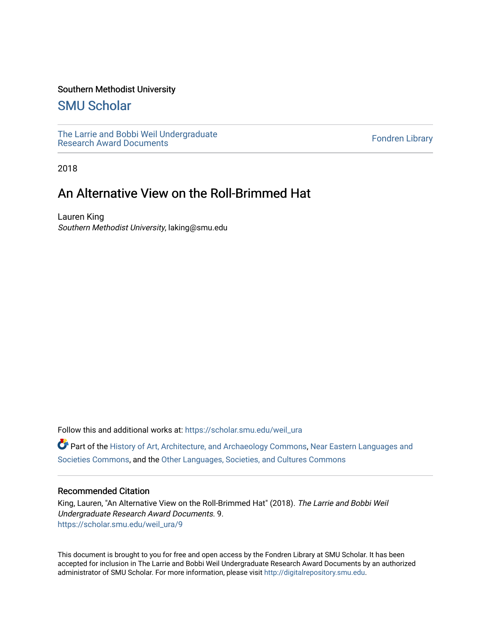### Southern Methodist University

## [SMU Scholar](https://scholar.smu.edu/)

[The Larrie and Bobbi Weil Undergraduate](https://scholar.smu.edu/weil_ura) The Lattle and Bobbi wen Undergraduate<br>[Research Award Documents](https://scholar.smu.edu/weil_ura)

2018

# An Alternative View on the Roll-Brimmed Hat

Lauren King Southern Methodist University, laking@smu.edu

Follow this and additional works at: [https://scholar.smu.edu/weil\\_ura](https://scholar.smu.edu/weil_ura?utm_source=scholar.smu.edu%2Fweil_ura%2F9&utm_medium=PDF&utm_campaign=PDFCoverPages)

Part of the [History of Art, Architecture, and Archaeology Commons,](http://network.bepress.com/hgg/discipline/510?utm_source=scholar.smu.edu%2Fweil_ura%2F9&utm_medium=PDF&utm_campaign=PDFCoverPages) [Near Eastern Languages and](http://network.bepress.com/hgg/discipline/484?utm_source=scholar.smu.edu%2Fweil_ura%2F9&utm_medium=PDF&utm_campaign=PDFCoverPages) [Societies Commons](http://network.bepress.com/hgg/discipline/484?utm_source=scholar.smu.edu%2Fweil_ura%2F9&utm_medium=PDF&utm_campaign=PDFCoverPages), and the [Other Languages, Societies, and Cultures Commons](http://network.bepress.com/hgg/discipline/475?utm_source=scholar.smu.edu%2Fweil_ura%2F9&utm_medium=PDF&utm_campaign=PDFCoverPages)

### Recommended Citation

King, Lauren, "An Alternative View on the Roll-Brimmed Hat" (2018). The Larrie and Bobbi Weil Undergraduate Research Award Documents. 9. [https://scholar.smu.edu/weil\\_ura/9](https://scholar.smu.edu/weil_ura/9?utm_source=scholar.smu.edu%2Fweil_ura%2F9&utm_medium=PDF&utm_campaign=PDFCoverPages) 

This document is brought to you for free and open access by the Fondren Library at SMU Scholar. It has been accepted for inclusion in The Larrie and Bobbi Weil Undergraduate Research Award Documents by an authorized administrator of SMU Scholar. For more information, please visit [http://digitalrepository.smu.edu](http://digitalrepository.smu.edu/).